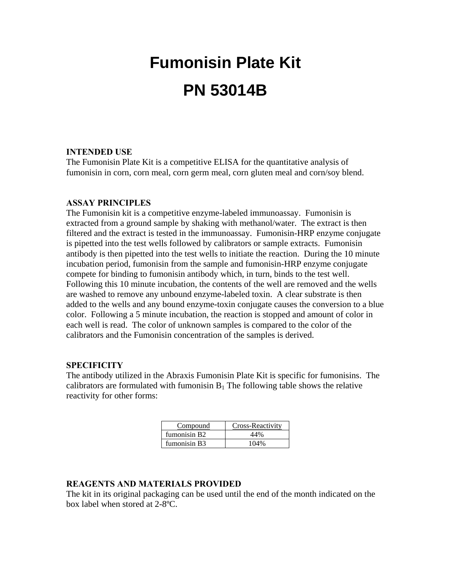# **Fumonisin Plate Kit PN 53014B**

# **INTENDED USE**

The Fumonisin Plate Kit is a competitive ELISA for the quantitative analysis of fumonisin in corn, corn meal, corn germ meal, corn gluten meal and corn/soy blend.

### **ASSAY PRINCIPLES**

The Fumonisin kit is a competitive enzyme-labeled immunoassay. Fumonisin is extracted from a ground sample by shaking with methanol/water. The extract is then filtered and the extract is tested in the immunoassay. Fumonisin-HRP enzyme conjugate is pipetted into the test wells followed by calibrators or sample extracts. Fumonisin antibody is then pipetted into the test wells to initiate the reaction. During the 10 minute incubation period, fumonisin from the sample and fumonisin-HRP enzyme conjugate compete for binding to fumonisin antibody which, in turn, binds to the test well. Following this 10 minute incubation, the contents of the well are removed and the wells are washed to remove any unbound enzyme-labeled toxin. A clear substrate is then added to the wells and any bound enzyme-toxin conjugate causes the conversion to a blue color. Following a 5 minute incubation, the reaction is stopped and amount of color in each well is read. The color of unknown samples is compared to the color of the calibrators and the Fumonisin concentration of the samples is derived.

#### **SPECIFICITY**

The antibody utilized in the Abraxis Fumonisin Plate Kit is specific for fumonisins. The calibrators are formulated with fumonisin  $B_1$  The following table shows the relative reactivity for other forms:

| Compound                 | Cross-Reactivity |
|--------------------------|------------------|
| fumonisin B <sub>2</sub> | 44%              |
| fumonisin B <sub>3</sub> | 104%             |

# **REAGENTS AND MATERIALS PROVIDED**

The kit in its original packaging can be used until the end of the month indicated on the box label when stored at 2-8ºC.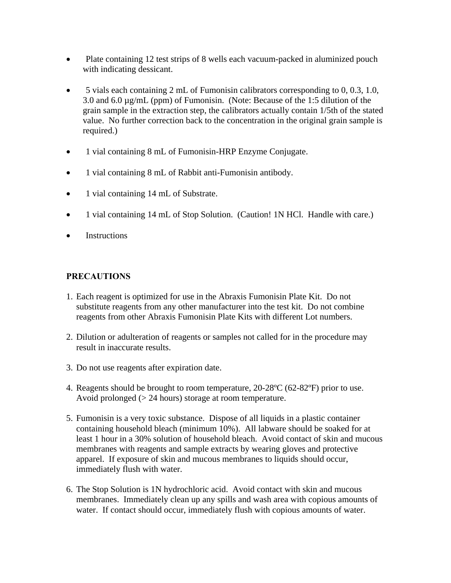- Plate containing 12 test strips of 8 wells each vacuum-packed in aluminized pouch with indicating dessicant.
- 5 vials each containing 2 mL of Fumonisin calibrators corresponding to 0, 0.3, 1.0, 3.0 and 6.0 µg/mL (ppm) of Fumonisin. (Note: Because of the 1:5 dilution of the grain sample in the extraction step, the calibrators actually contain 1/5th of the stated value. No further correction back to the concentration in the original grain sample is required.)
- 1 vial containing 8 mL of Fumonisin-HRP Enzyme Conjugate.
- 1 vial containing 8 mL of Rabbit anti-Fumonisin antibody.
- 1 vial containing 14 mL of Substrate.
- 1 vial containing 14 mL of Stop Solution. (Caution! 1N HCl. Handle with care.)
- **Instructions**

# **PRECAUTIONS**

- 1. Each reagent is optimized for use in the Abraxis Fumonisin Plate Kit. Do not substitute reagents from any other manufacturer into the test kit. Do not combine reagents from other Abraxis Fumonisin Plate Kits with different Lot numbers.
- 2. Dilution or adulteration of reagents or samples not called for in the procedure may result in inaccurate results.
- 3. Do not use reagents after expiration date.
- 4. Reagents should be brought to room temperature, 20-28ºC (62-82ºF) prior to use. Avoid prolonged (> 24 hours) storage at room temperature.
- 5. Fumonisin is a very toxic substance. Dispose of all liquids in a plastic container containing household bleach (minimum 10%). All labware should be soaked for at least 1 hour in a 30% solution of household bleach. Avoid contact of skin and mucous membranes with reagents and sample extracts by wearing gloves and protective apparel. If exposure of skin and mucous membranes to liquids should occur, immediately flush with water.
- 6. The Stop Solution is 1N hydrochloric acid. Avoid contact with skin and mucous membranes. Immediately clean up any spills and wash area with copious amounts of water. If contact should occur, immediately flush with copious amounts of water.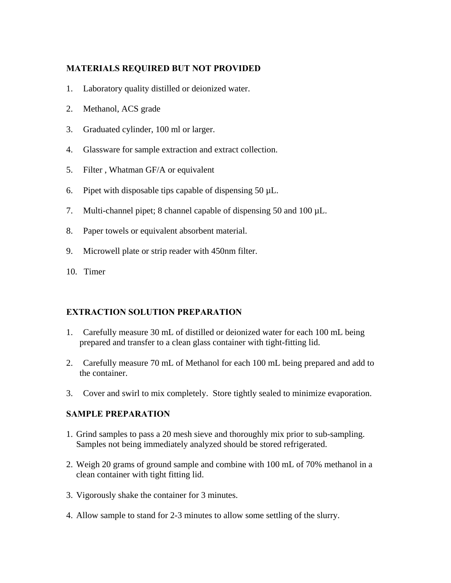# **MATERIALS REQUIRED BUT NOT PROVIDED**

- 1. Laboratory quality distilled or deionized water.
- 2. Methanol, ACS grade
- 3. Graduated cylinder, 100 ml or larger.
- 4. Glassware for sample extraction and extract collection.
- 5. Filter , Whatman GF/A or equivalent
- 6. Pipet with disposable tips capable of dispensing  $50 \mu L$ .
- 7. Multi-channel pipet; 8 channel capable of dispensing 50 and 100 µL.
- 8. Paper towels or equivalent absorbent material.
- 9. Microwell plate or strip reader with 450nm filter.
- 10. Timer

# **EXTRACTION SOLUTION PREPARATION**

- 1. Carefully measure 30 mL of distilled or deionized water for each 100 mL being prepared and transfer to a clean glass container with tight-fitting lid.
- 2. Carefully measure 70 mL of Methanol for each 100 mL being prepared and add to the container.
- 3. Cover and swirl to mix completely. Store tightly sealed to minimize evaporation.

#### **SAMPLE PREPARATION**

- 1. Grind samples to pass a 20 mesh sieve and thoroughly mix prior to sub-sampling. Samples not being immediately analyzed should be stored refrigerated.
- 2. Weigh 20 grams of ground sample and combine with 100 mL of 70% methanol in a clean container with tight fitting lid.
- 3. Vigorously shake the container for 3 minutes.
- 4. Allow sample to stand for 2-3 minutes to allow some settling of the slurry.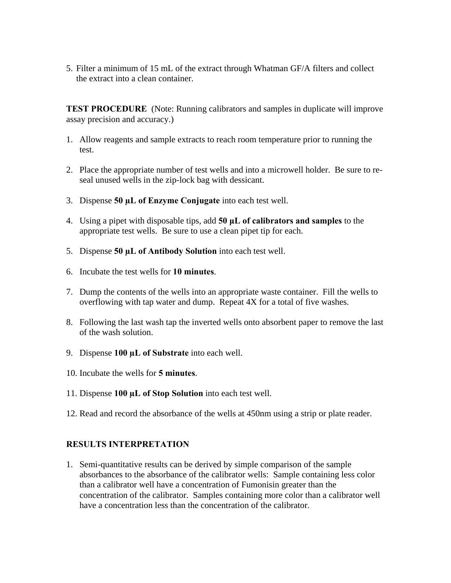5. Filter a minimum of 15 mL of the extract through Whatman GF/A filters and collect the extract into a clean container.

**TEST PROCEDURE** (Note: Running calibrators and samples in duplicate will improve assay precision and accuracy.)

- 1. Allow reagents and sample extracts to reach room temperature prior to running the test.
- 2. Place the appropriate number of test wells and into a microwell holder. Be sure to reseal unused wells in the zip-lock bag with dessicant.
- 3. Dispense **50 µL of Enzyme Conjugate** into each test well.
- 4. Using a pipet with disposable tips, add **50 μL of calibrators and samples** to the appropriate test wells. Be sure to use a clean pipet tip for each.
- 5. Dispense **50 µL of Antibody Solution** into each test well.
- 6. Incubate the test wells for **10 minutes**.
- 7. Dump the contents of the wells into an appropriate waste container. Fill the wells to overflowing with tap water and dump. Repeat 4X for a total of five washes.
- 8. Following the last wash tap the inverted wells onto absorbent paper to remove the last of the wash solution.
- 9. Dispense **100 µL of Substrate** into each well.
- 10. Incubate the wells for **5 minutes**.
- 11. Dispense **100 µL of Stop Solution** into each test well.
- 12. Read and record the absorbance of the wells at 450nm using a strip or plate reader.

#### **RESULTS INTERPRETATION**

1. Semi-quantitative results can be derived by simple comparison of the sample absorbances to the absorbance of the calibrator wells: Sample containing less color than a calibrator well have a concentration of Fumonisin greater than the concentration of the calibrator. Samples containing more color than a calibrator well have a concentration less than the concentration of the calibrator.